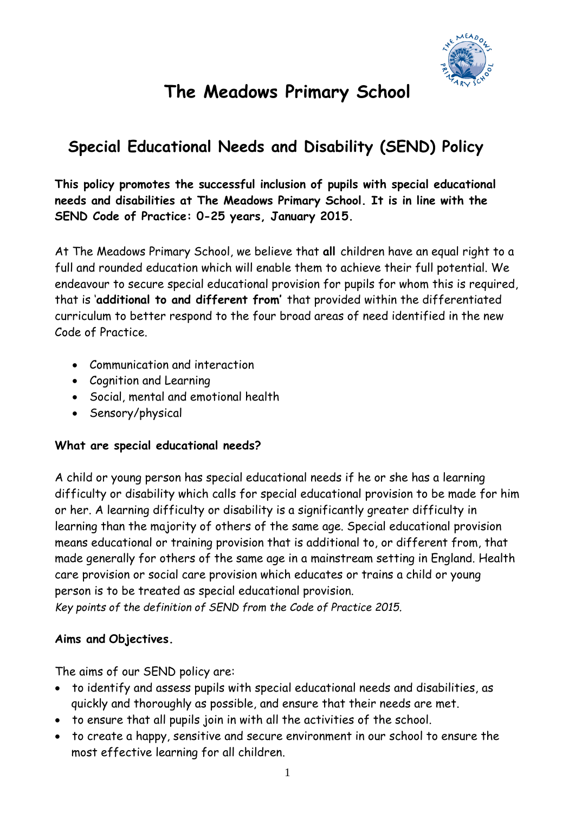

# **The Meadows Primary School**

## **Special Educational Needs and Disability (SEND) Policy**

**This policy promotes the successful inclusion of pupils with special educational needs and disabilities at The Meadows Primary School. It is in line with the SEND Code of Practice: 0-25 years, January 2015.**

At The Meadows Primary School, we believe that **all** children have an equal right to a full and rounded education which will enable them to achieve their full potential. We endeavour to secure special educational provision for pupils for whom this is required, that is '**additional to and different from'** that provided within the differentiated curriculum to better respond to the four broad areas of need identified in the new Code of Practice.

- Communication and interaction
- Cognition and Learning
- Social, mental and emotional health
- Sensory/physical

#### **What are special educational needs?**

A child or young person has special educational needs if he or she has a learning difficulty or disability which calls for special educational provision to be made for him or her. A learning difficulty or disability is a significantly greater difficulty in learning than the majority of others of the same age. Special educational provision means educational or training provision that is additional to, or different from, that made generally for others of the same age in a mainstream setting in England. Health care provision or social care provision which educates or trains a child or young person is to be treated as special educational provision. *Key points of the definition of SEND from the Code of Practice 2015.*

#### **Aims and Objectives.**

The aims of our SEND policy are:

- to identify and assess pupils with special educational needs and disabilities, as quickly and thoroughly as possible, and ensure that their needs are met.
- to ensure that all pupils join in with all the activities of the school.
- to create a happy, sensitive and secure environment in our school to ensure the most effective learning for all children.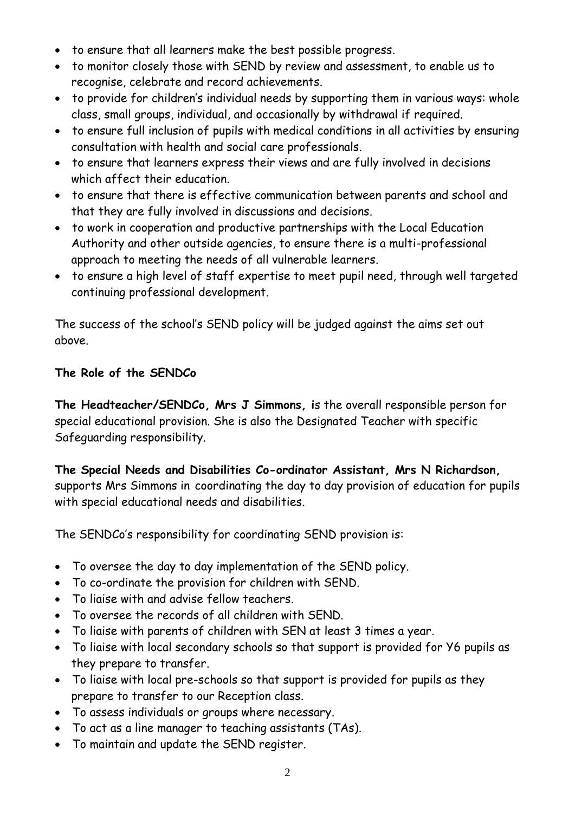- to ensure that all learners make the best possible progress.
- to monitor closely those with SEND by review and assessment, to enable us to recognise, celebrate and record achievements.
- to provide for children's individual needs by supporting them in various ways: whole class, small groups, individual, and occasionally by withdrawal if required.
- to ensure full inclusion of pupils with medical conditions in all activities by ensuring consultation with health and social care professionals.
- to ensure that learners express their views and are fully involved in decisions which affect their education.
- to ensure that there is effective communication between parents and school and that they are fully involved in discussions and decisions.
- to work in cooperation and productive partnerships with the Local Education Authority and other outside agencies, to ensure there is a multi-professional approach to meeting the needs of all vulnerable learners.
- to ensure a high level of staff expertise to meet pupil need, through well targeted continuing professional development.

The success of the school's SEND policy will be judged against the aims set out above.

## **The Role of the SENDCo**

**The Headteacher/SENDCo, Mrs J Simmons, i**s the overall responsible person for special educational provision. She is also the Designated Teacher with specific Safeguarding responsibility.

**The Special Needs and Disabilities Co-ordinator Assistant, Mrs N Richardson,**  supports Mrs Simmons in coordinating the day to day provision of education for pupils with special educational needs and disabilities.

The SENDCo's responsibility for coordinating SEND provision is:

- To oversee the day to day implementation of the SEND policy.
- To co-ordinate the provision for children with SEND.
- To liaise with and advise fellow teachers.
- To oversee the records of all children with SEND.
- To liaise with parents of children with SEN at least 3 times a year.
- To liaise with local secondary schools so that support is provided for Y6 pupils as they prepare to transfer.
- To liaise with local pre-schools so that support is provided for pupils as they prepare to transfer to our Reception class.
- To assess individuals or groups where necessary.
- To act as a line manager to teaching assistants (TAs).
- To maintain and update the SEND register.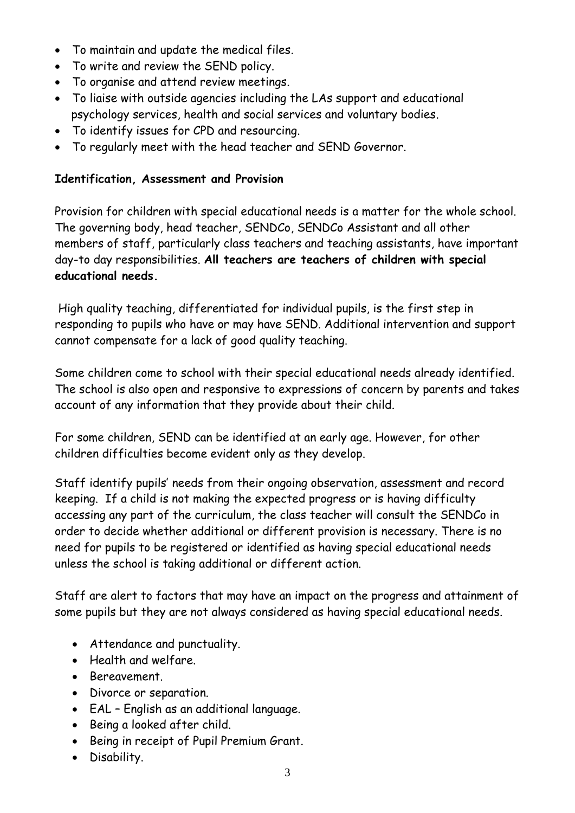- To maintain and update the medical files.
- To write and review the SEND policy.
- To organise and attend review meetings.
- To liaise with outside agencies including the LAs support and educational psychology services, health and social services and voluntary bodies.
- To identify issues for CPD and resourcing.
- To regularly meet with the head teacher and SEND Governor.

## **Identification, Assessment and Provision**

Provision for children with special educational needs is a matter for the whole school. The governing body, head teacher, SENDCo, SENDCo Assistant and all other members of staff, particularly class teachers and teaching assistants, have important day-to day responsibilities. **All teachers are teachers of children with special educational needs.**

High quality teaching, differentiated for individual pupils, is the first step in responding to pupils who have or may have SEND. Additional intervention and support cannot compensate for a lack of good quality teaching.

Some children come to school with their special educational needs already identified. The school is also open and responsive to expressions of concern by parents and takes account of any information that they provide about their child.

For some children, SEND can be identified at an early age. However, for other children difficulties become evident only as they develop.

Staff identify pupils' needs from their ongoing observation, assessment and record keeping. If a child is not making the expected progress or is having difficulty accessing any part of the curriculum, the class teacher will consult the SENDCo in order to decide whether additional or different provision is necessary. There is no need for pupils to be registered or identified as having special educational needs unless the school is taking additional or different action.

Staff are alert to factors that may have an impact on the progress and attainment of some pupils but they are not always considered as having special educational needs.

- Attendance and punctuality.
- Health and welfare.
- Bereavement.
- Divorce or separation.
- EAL English as an additional language.
- Being a looked after child.
- Being in receipt of Pupil Premium Grant.
- Disability.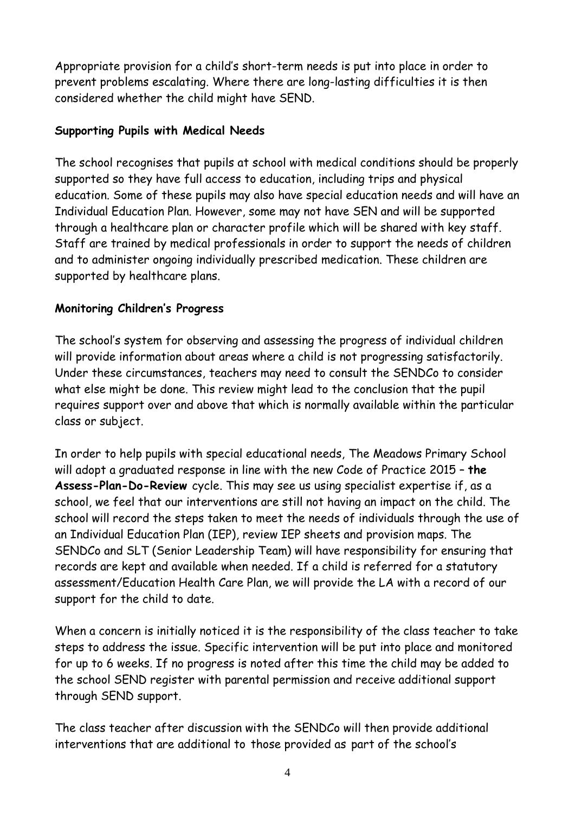Appropriate provision for a child's short-term needs is put into place in order to prevent problems escalating. Where there are long-lasting difficulties it is then considered whether the child might have SEND.

#### **Supporting Pupils with Medical Needs**

The school recognises that pupils at school with medical conditions should be properly supported so they have full access to education, including trips and physical education. Some of these pupils may also have special education needs and will have an Individual Education Plan. However, some may not have SEN and will be supported through a healthcare plan or character profile which will be shared with key staff. Staff are trained by medical professionals in order to support the needs of children and to administer ongoing individually prescribed medication. These children are supported by healthcare plans.

## **Monitoring Children's Progress**

The school's system for observing and assessing the progress of individual children will provide information about areas where a child is not progressing satisfactorily. Under these circumstances, teachers may need to consult the SENDCo to consider what else might be done. This review might lead to the conclusion that the pupil requires support over and above that which is normally available within the particular class or subject.

In order to help pupils with special educational needs, The Meadows Primary School will adopt a graduated response in line with the new Code of Practice 2015 – **the Assess-Plan-Do-Review** cycle. This may see us using specialist expertise if, as a school, we feel that our interventions are still not having an impact on the child. The school will record the steps taken to meet the needs of individuals through the use of an Individual Education Plan (IEP), review IEP sheets and provision maps. The SENDCo and SLT (Senior Leadership Team) will have responsibility for ensuring that records are kept and available when needed. If a child is referred for a statutory assessment/Education Health Care Plan, we will provide the LA with a record of our support for the child to date.

When a concern is initially noticed it is the responsibility of the class teacher to take steps to address the issue. Specific intervention will be put into place and monitored for up to 6 weeks. If no progress is noted after this time the child may be added to the school SEND register with parental permission and receive additional support through SEND support.

The class teacher after discussion with the SENDCo will then provide additional interventions that are additional to those provided as part of the school's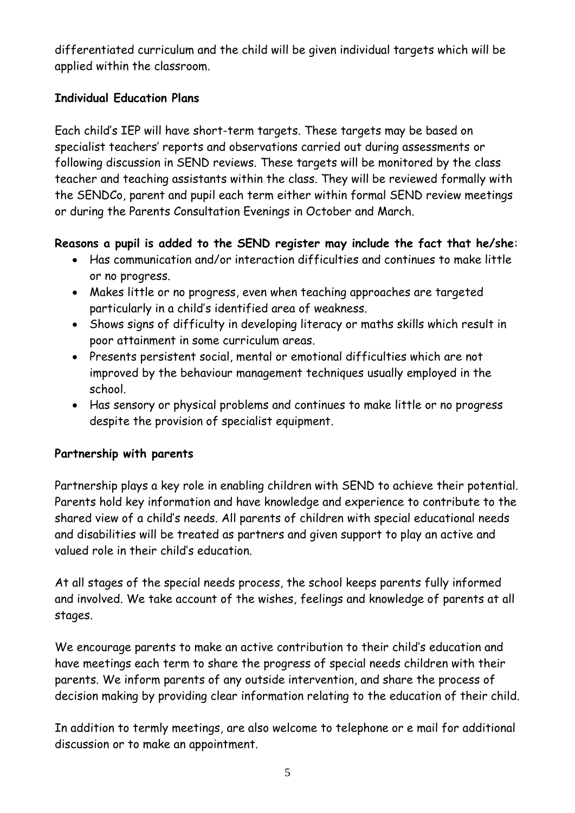differentiated curriculum and the child will be given individual targets which will be applied within the classroom.

## **Individual Education Plans**

Each child's IEP will have short-term targets. These targets may be based on specialist teachers' reports and observations carried out during assessments or following discussion in SEND reviews. These targets will be monitored by the class teacher and teaching assistants within the class. They will be reviewed formally with the SENDCo, parent and pupil each term either within formal SEND review meetings or during the Parents Consultation Evenings in October and March.

## **Reasons a pupil is added to the SEND register may include the fact that he/she**:

- Has communication and/or interaction difficulties and continues to make little or no progress.
- Makes little or no progress, even when teaching approaches are targeted particularly in a child's identified area of weakness.
- Shows signs of difficulty in developing literacy or maths skills which result in poor attainment in some curriculum areas.
- Presents persistent social, mental or emotional difficulties which are not improved by the behaviour management techniques usually employed in the school.
- Has sensory or physical problems and continues to make little or no progress despite the provision of specialist equipment.

#### **Partnership with parents**

Partnership plays a key role in enabling children with SEND to achieve their potential. Parents hold key information and have knowledge and experience to contribute to the shared view of a child's needs. All parents of children with special educational needs and disabilities will be treated as partners and given support to play an active and valued role in their child's education.

At all stages of the special needs process, the school keeps parents fully informed and involved. We take account of the wishes, feelings and knowledge of parents at all stages.

We encourage parents to make an active contribution to their child's education and have meetings each term to share the progress of special needs children with their parents. We inform parents of any outside intervention, and share the process of decision making by providing clear information relating to the education of their child.

In addition to termly meetings, are also welcome to telephone or e mail for additional discussion or to make an appointment.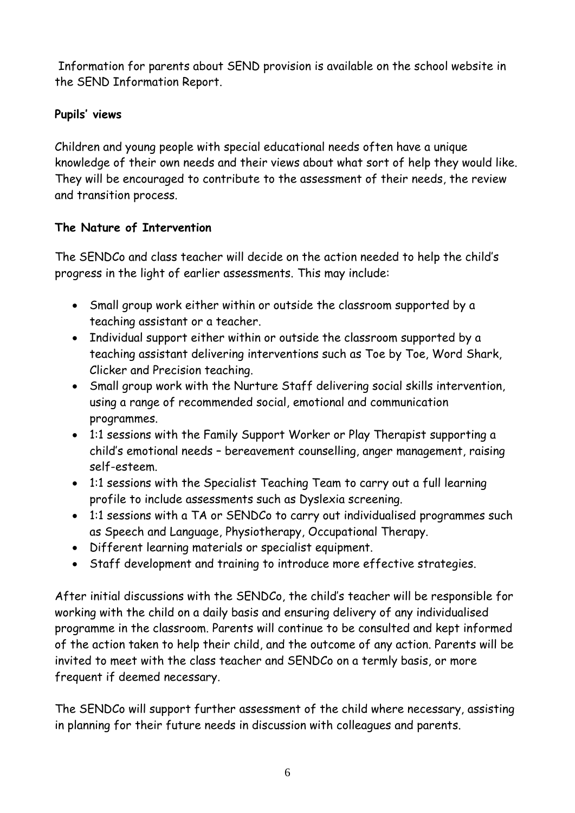Information for parents about SEND provision is available on the school website in the SEND Information Report.

## **Pupils' views**

Children and young people with special educational needs often have a unique knowledge of their own needs and their views about what sort of help they would like. They will be encouraged to contribute to the assessment of their needs, the review and transition process.

## **The Nature of Intervention**

The SENDCo and class teacher will decide on the action needed to help the child's progress in the light of earlier assessments. This may include:

- Small group work either within or outside the classroom supported by a teaching assistant or a teacher.
- Individual support either within or outside the classroom supported by a teaching assistant delivering interventions such as Toe by Toe, Word Shark, Clicker and Precision teaching.
- Small group work with the Nurture Staff delivering social skills intervention, using a range of recommended social, emotional and communication programmes.
- 1:1 sessions with the Family Support Worker or Play Therapist supporting a child's emotional needs – bereavement counselling, anger management, raising self-esteem.
- 1:1 sessions with the Specialist Teaching Team to carry out a full learning profile to include assessments such as Dyslexia screening.
- 1:1 sessions with a TA or SENDCo to carry out individualised programmes such as Speech and Language, Physiotherapy, Occupational Therapy.
- Different learning materials or specialist equipment.
- Staff development and training to introduce more effective strategies.

After initial discussions with the SENDCo, the child's teacher will be responsible for working with the child on a daily basis and ensuring delivery of any individualised programme in the classroom. Parents will continue to be consulted and kept informed of the action taken to help their child, and the outcome of any action. Parents will be invited to meet with the class teacher and SENDCo on a termly basis, or more frequent if deemed necessary.

The SENDCo will support further assessment of the child where necessary, assisting in planning for their future needs in discussion with colleagues and parents.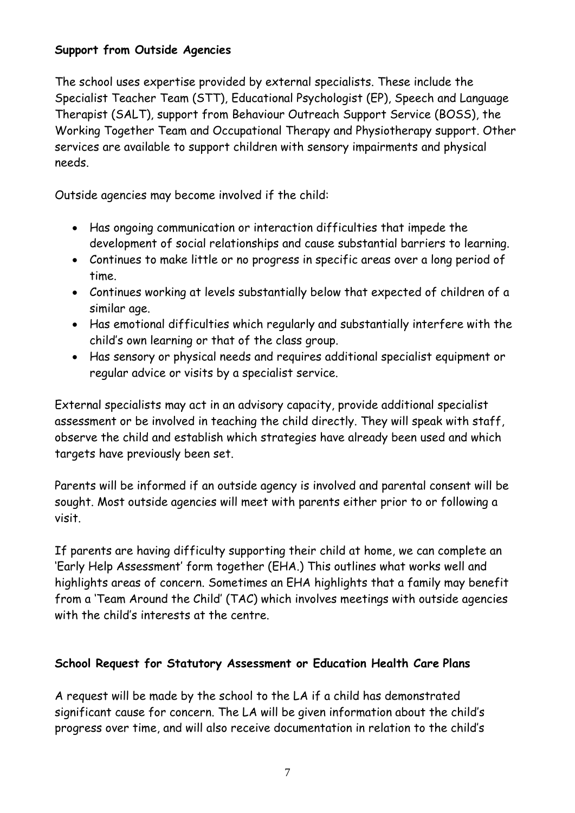### **Support from Outside Agencies**

The school uses expertise provided by external specialists. These include the Specialist Teacher Team (STT), Educational Psychologist (EP), Speech and Language Therapist (SALT), support from Behaviour Outreach Support Service (BOSS), the Working Together Team and Occupational Therapy and Physiotherapy support. Other services are available to support children with sensory impairments and physical needs.

Outside agencies may become involved if the child:

- Has ongoing communication or interaction difficulties that impede the development of social relationships and cause substantial barriers to learning.
- Continues to make little or no progress in specific areas over a long period of time.
- Continues working at levels substantially below that expected of children of a similar age.
- Has emotional difficulties which regularly and substantially interfere with the child's own learning or that of the class group.
- Has sensory or physical needs and requires additional specialist equipment or regular advice or visits by a specialist service.

External specialists may act in an advisory capacity, provide additional specialist assessment or be involved in teaching the child directly. They will speak with staff, observe the child and establish which strategies have already been used and which targets have previously been set.

Parents will be informed if an outside agency is involved and parental consent will be sought. Most outside agencies will meet with parents either prior to or following a visit.

If parents are having difficulty supporting their child at home, we can complete an 'Early Help Assessment' form together (EHA.) This outlines what works well and highlights areas of concern. Sometimes an EHA highlights that a family may benefit from a 'Team Around the Child' (TAC) which involves meetings with outside agencies with the child's interests at the centre.

## **School Request for Statutory Assessment or Education Health Care Plans**

A request will be made by the school to the LA if a child has demonstrated significant cause for concern. The LA will be given information about the child's progress over time, and will also receive documentation in relation to the child's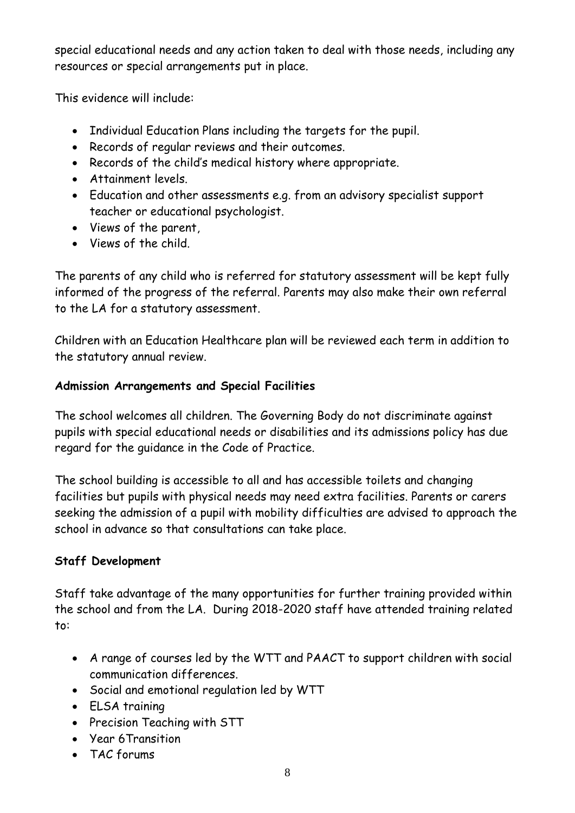special educational needs and any action taken to deal with those needs, including any resources or special arrangements put in place.

This evidence will include:

- Individual Education Plans including the targets for the pupil.
- Records of regular reviews and their outcomes.
- Records of the child's medical history where appropriate.
- Attainment levels.
- Education and other assessments e.g. from an advisory specialist support teacher or educational psychologist.
- Views of the parent,
- Views of the child.

The parents of any child who is referred for statutory assessment will be kept fully informed of the progress of the referral. Parents may also make their own referral to the LA for a statutory assessment.

Children with an Education Healthcare plan will be reviewed each term in addition to the statutory annual review.

#### **Admission Arrangements and Special Facilities**

The school welcomes all children. The Governing Body do not discriminate against pupils with special educational needs or disabilities and its admissions policy has due regard for the guidance in the Code of Practice.

The school building is accessible to all and has accessible toilets and changing facilities but pupils with physical needs may need extra facilities. Parents or carers seeking the admission of a pupil with mobility difficulties are advised to approach the school in advance so that consultations can take place.

## **Staff Development**

Staff take advantage of the many opportunities for further training provided within the school and from the LA. During 2018-2020 staff have attended training related to:

- A range of courses led by the WTT and PAACT to support children with social communication differences.
- Social and emotional regulation led by WTT
- ELSA training
- Precision Teaching with STT
- Year 6Transition
- TAC forums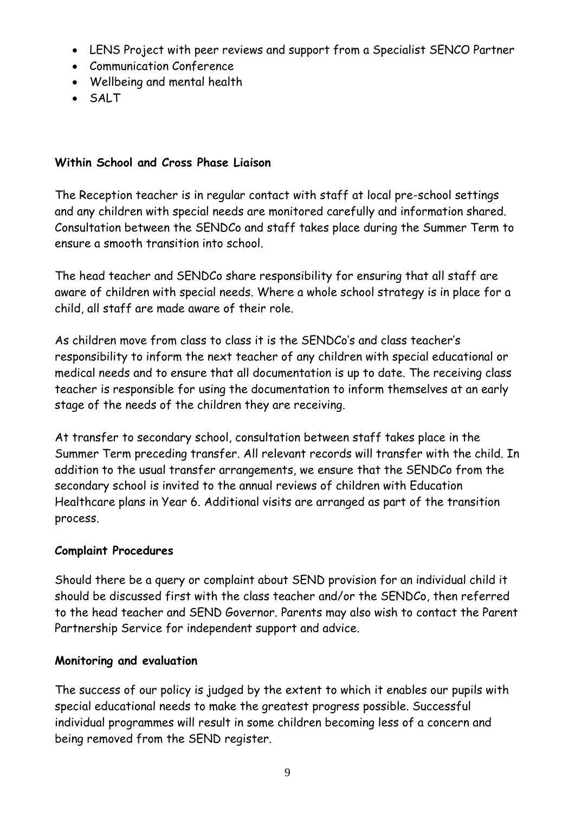- LENS Project with peer reviews and support from a Specialist SENCO Partner
- Communication Conference
- Wellbeing and mental health
- SALT

#### **Within School and Cross Phase Liaison**

The Reception teacher is in regular contact with staff at local pre-school settings and any children with special needs are monitored carefully and information shared. Consultation between the SENDCo and staff takes place during the Summer Term to ensure a smooth transition into school.

The head teacher and SENDCo share responsibility for ensuring that all staff are aware of children with special needs. Where a whole school strategy is in place for a child, all staff are made aware of their role.

As children move from class to class it is the SENDCo's and class teacher's responsibility to inform the next teacher of any children with special educational or medical needs and to ensure that all documentation is up to date. The receiving class teacher is responsible for using the documentation to inform themselves at an early stage of the needs of the children they are receiving.

At transfer to secondary school, consultation between staff takes place in the Summer Term preceding transfer. All relevant records will transfer with the child. In addition to the usual transfer arrangements, we ensure that the SENDCo from the secondary school is invited to the annual reviews of children with Education Healthcare plans in Year 6. Additional visits are arranged as part of the transition process.

#### **Complaint Procedures**

Should there be a query or complaint about SEND provision for an individual child it should be discussed first with the class teacher and/or the SENDCo, then referred to the head teacher and SEND Governor. Parents may also wish to contact the Parent Partnership Service for independent support and advice.

#### **Monitoring and evaluation**

The success of our policy is judged by the extent to which it enables our pupils with special educational needs to make the greatest progress possible. Successful individual programmes will result in some children becoming less of a concern and being removed from the SEND register.